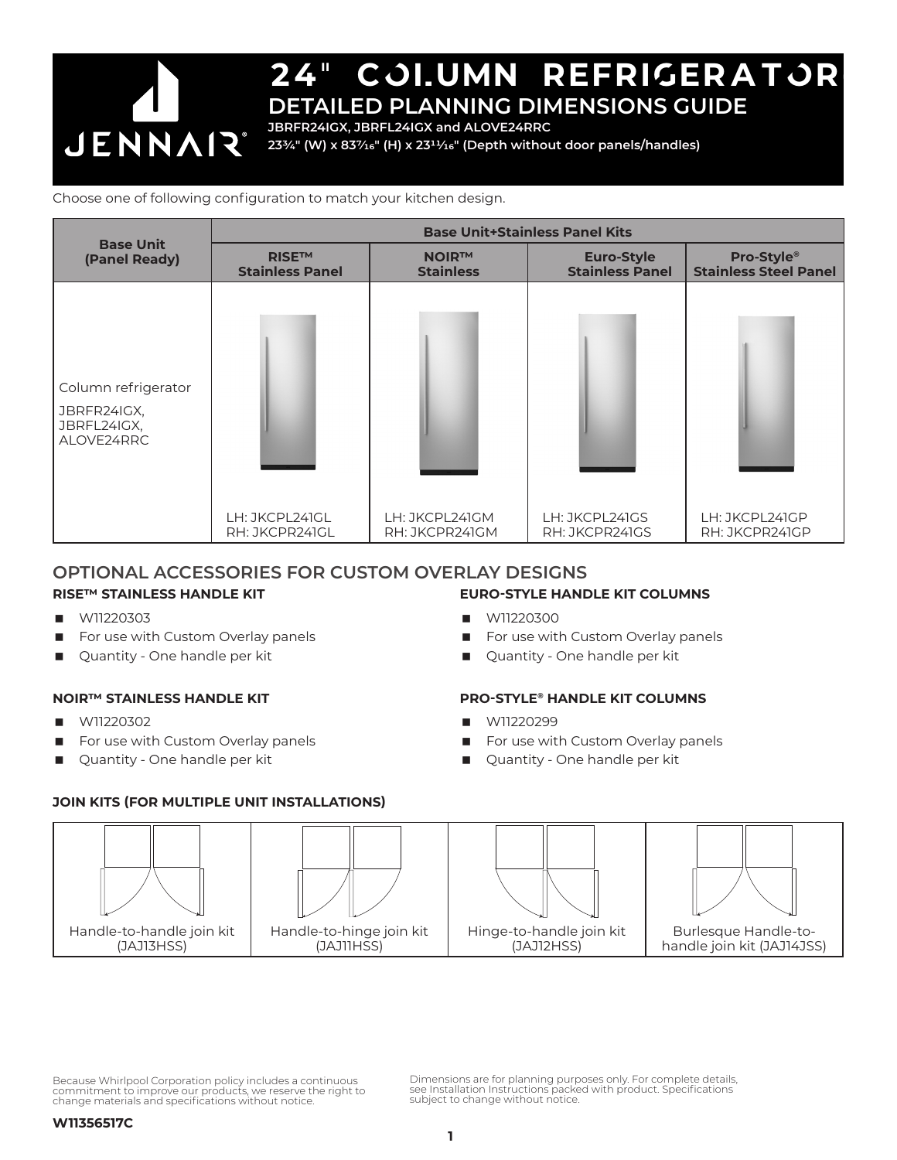

**JBRFR24IGX, JBRFL24IGX and ALOVE24RRC**

**233/4" (W) x 837/16" (H) x 2311/16" (Depth without door panels/handles)**

#### Choose one of following configuration to match your kitchen design.

| <b>Base Unit</b><br>(Panel Ready)                               | <b>Base Unit+Stainless Panel Kits</b>  |                                  |                                             |                                            |
|-----------------------------------------------------------------|----------------------------------------|----------------------------------|---------------------------------------------|--------------------------------------------|
|                                                                 | <b>RISE™</b><br><b>Stainless Panel</b> | <b>NOIR™</b><br><b>Stainless</b> | <b>Euro-Style</b><br><b>Stainless Panel</b> | Pro-Style®<br><b>Stainless Steel Panel</b> |
| Column refrigerator<br>JBRFR24IGX,<br>JBRFL24IGX,<br>ALOVE24RRC | LH: JKCPL241GL<br>RH: JKCPR241GL       | LH: JKCPL241GM<br>RH: JKCPR241GM | LH: JKCPL24IGS<br>RH: JKCPR241GS            | LH: JKCPL241GP<br>RH: JKCPR24IGP           |

### **OPTIONAL ACCESSORIES FOR CUSTOM OVERLAY DESIGNS**

### **RISE™ STAINLESS HANDLE KIT**

- W11220303
- For use with Custom Overlay panels
- Quantity One handle per kit

#### **NOIR™ STAINLESS HANDLE KIT**

- $M11220302$
- For use with Custom Overlay panels
- Quantity One handle per kit

#### **EURO-STYLE HANDLE KIT COLUMNS**

- **W11220300**
- For use with Custom Overlay panels
- Quantity One handle per kit

#### **PRO-STYLE® HANDLE KIT COLUMNS**

- W11220299
- For use with Custom Overlay panels
- Quantity One handle per kit

### **JOIN KITS (FOR MULTIPLE UNIT INSTALLATIONS)**



Because Whirlpool Corporation policy includes a continuous commitment to improve our products, we reserve the right to change materials and specifications without notice.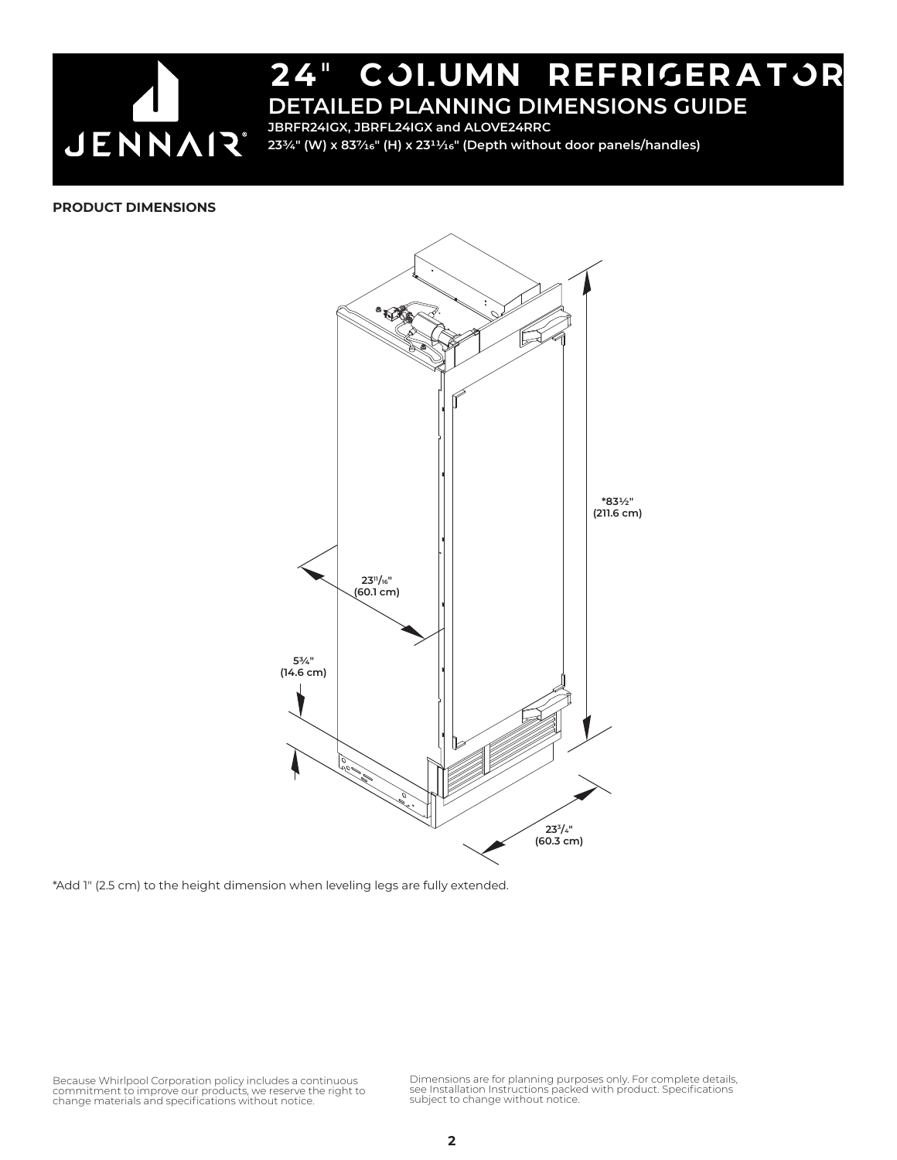

**JBRFR24IGX, JBRFL24IGX and ALOVE24RRC 233/4" (W) x 837/16" (H) x 2311/16" (Depth without door panels/handles)**

#### **PRODUCT DIMENSIONS**



\*Add 1" (2.5 cm) to the height dimension when leveling legs are fully extended.

Because Whirlpool Corporation policy includes a continuous<br>commitment to improve our products, we reserve the right to<br>change materials and specifications without notice.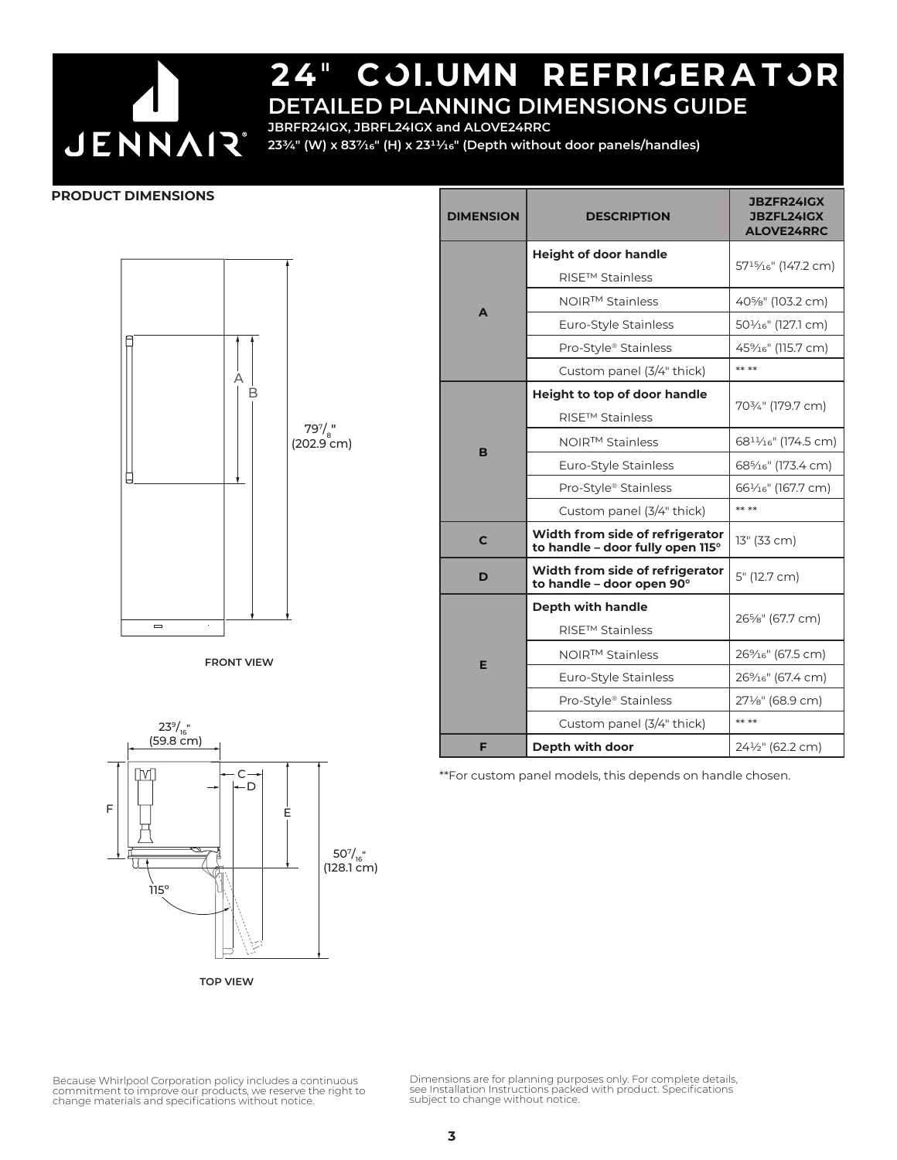

# 24" COI.UMN REFRIGERATOR

**DETAILED PLANNING DIMENSIONS GUIDE JBRFR24IGX, JBRFL24IGX and ALOVE24RRC**

**233/4" (W) x 837/16" (H) x 2311/16" (Depth without door panels/handles)**

#### **PRODUCT DIMENSIONS**







\*\*For custom panel models, this depends on handle chosen.



**TOP VIEW**

Dimensions are for planning purposes only. For complete details, see Installation Instructions packed with product. Specifications subject to change without notice.

Because Whirlpool Corporation policy includes a continuous commitment to improve our products, we reserve the right to change materials and specifications without notice.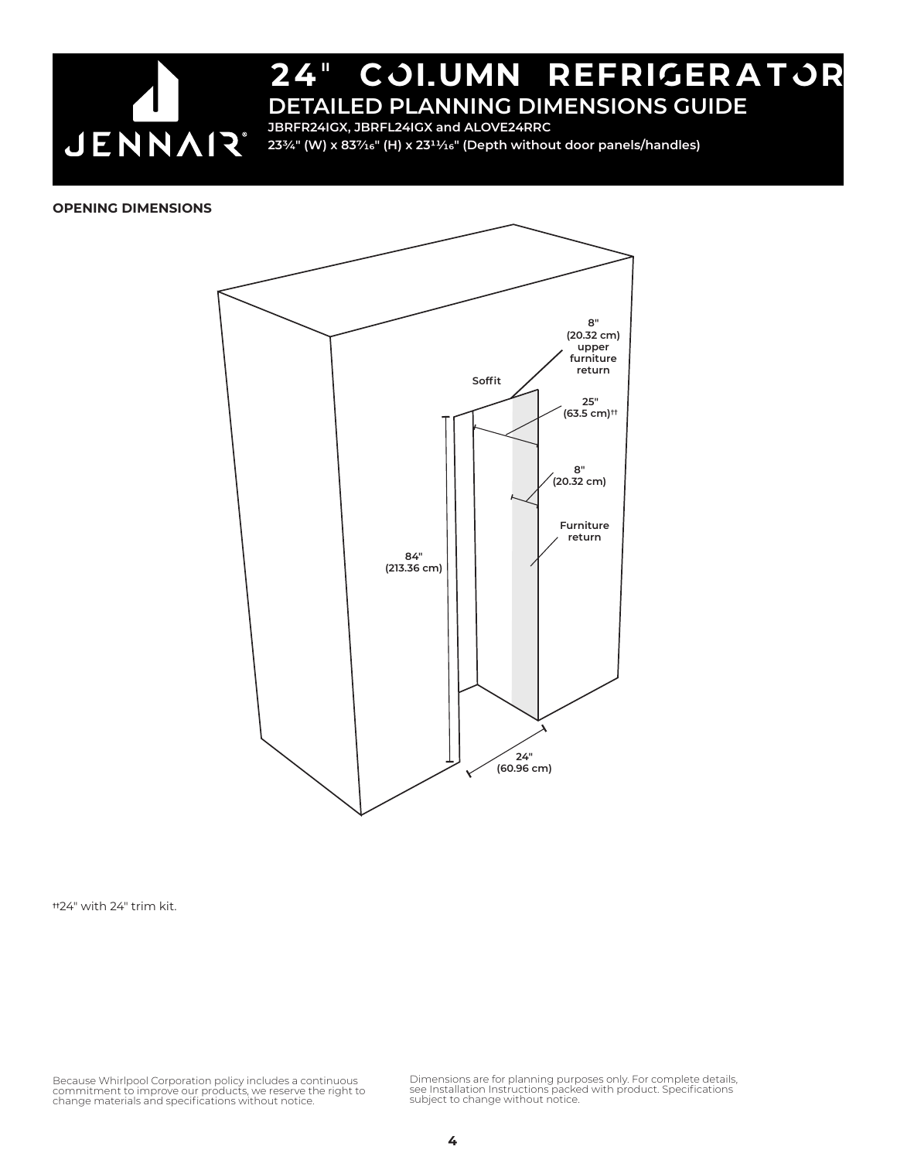

**JBRFR24IGX, JBRFL24IGX and ALOVE24RRC**

**233/4" (W) x 837/16" (H) x 2311/16" (Depth without door panels/handles)**

#### **OPENING DIMENSIONS**



**††**24" with 24" trim kit.

Because Whirlpool Corporation policy includes a continuous<br>commitment to improve our products, we reserve the right to<br>change materials and specifications without notice.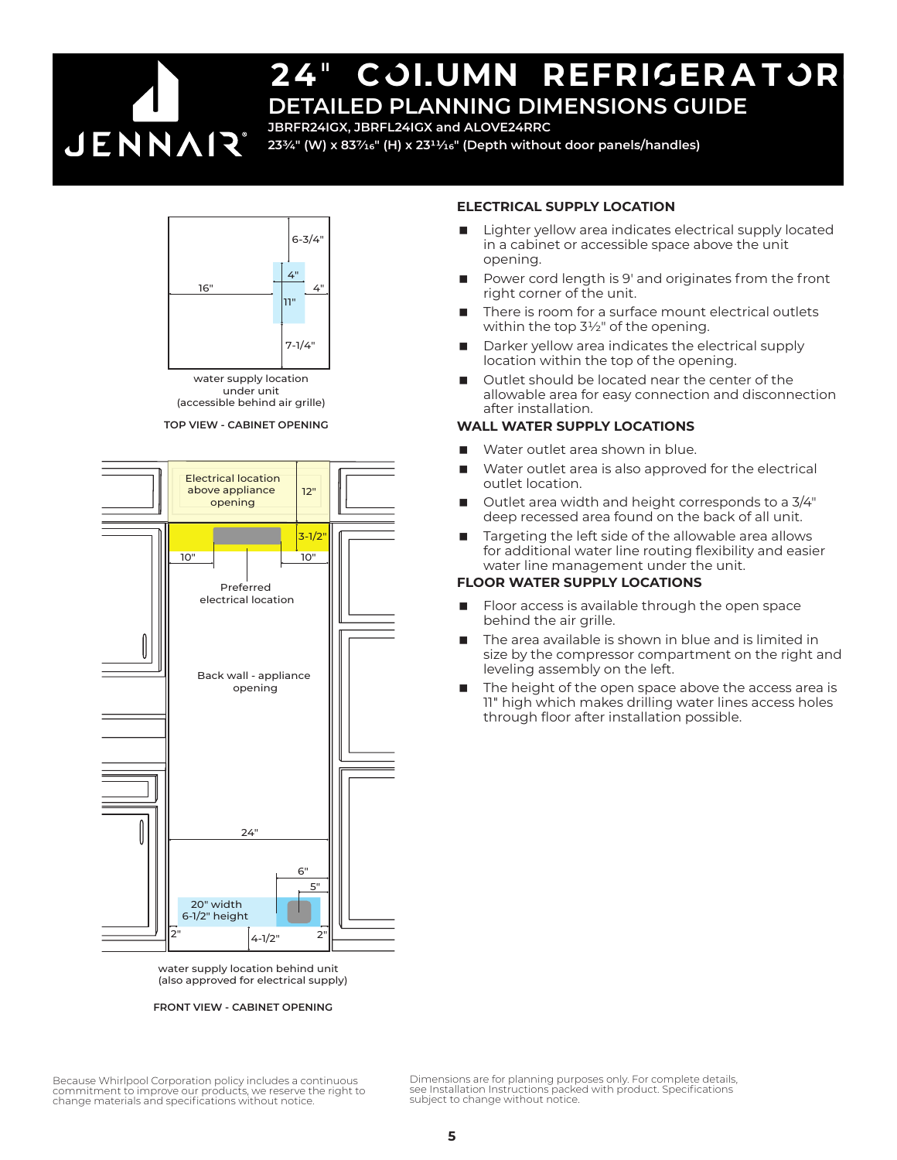

**JBRFR24IGX, JBRFL24IGX and ALOVE24RRC**

**233/4" (W) x 837/16" (H) x 2311/16" (Depth without door panels/handles)**



water supply location under unit (accessible behind air grille)

**TOP VIEW - CABINET OPENING**



water supply location behind unit (also approved for electrical supply)

#### **FRONT VIEW - CABINET OPENING**

#### **ELECTRICAL SUPPLY LOCATION**

- Lighter yellow area indicates electrical supply located in a cabinet or accessible space above the unit opening.
- Power cord length is 9' and originates from the front right corner of the unit.
- There is room for a surface mount electrical outlets within the top  $3\frac{1}{2}$ " of the opening.
- Darker yellow area indicates the electrical supply location within the top of the opening.
- Outlet should be located near the center of the allowable area for easy connection and disconnection after installation.

#### **WALL WATER SUPPLY LOCATIONS**

- Water outlet area shown in blue.
- Water outlet area is also approved for the electrical outlet location.
- Outlet area width and height corresponds to a 3/4" deep recessed area found on the back of all unit.
- Targeting the left side of the allowable area allows for additional water line routing flexibility and easier water line management under the unit.

#### **FLOOR WATER SUPPLY LOCATIONS**

- Floor access is available through the open space behind the air grille.
- The area available is shown in blue and is limited in size by the compressor compartment on the right and leveling assembly on the left.
- The height of the open space above the access area is 11" high which makes drilling water lines access holes through floor after installation possible.

Because Whirlpool Corporation policy includes a continuous commitment to improve our products, we reserve the right to change materials and specifications without notice.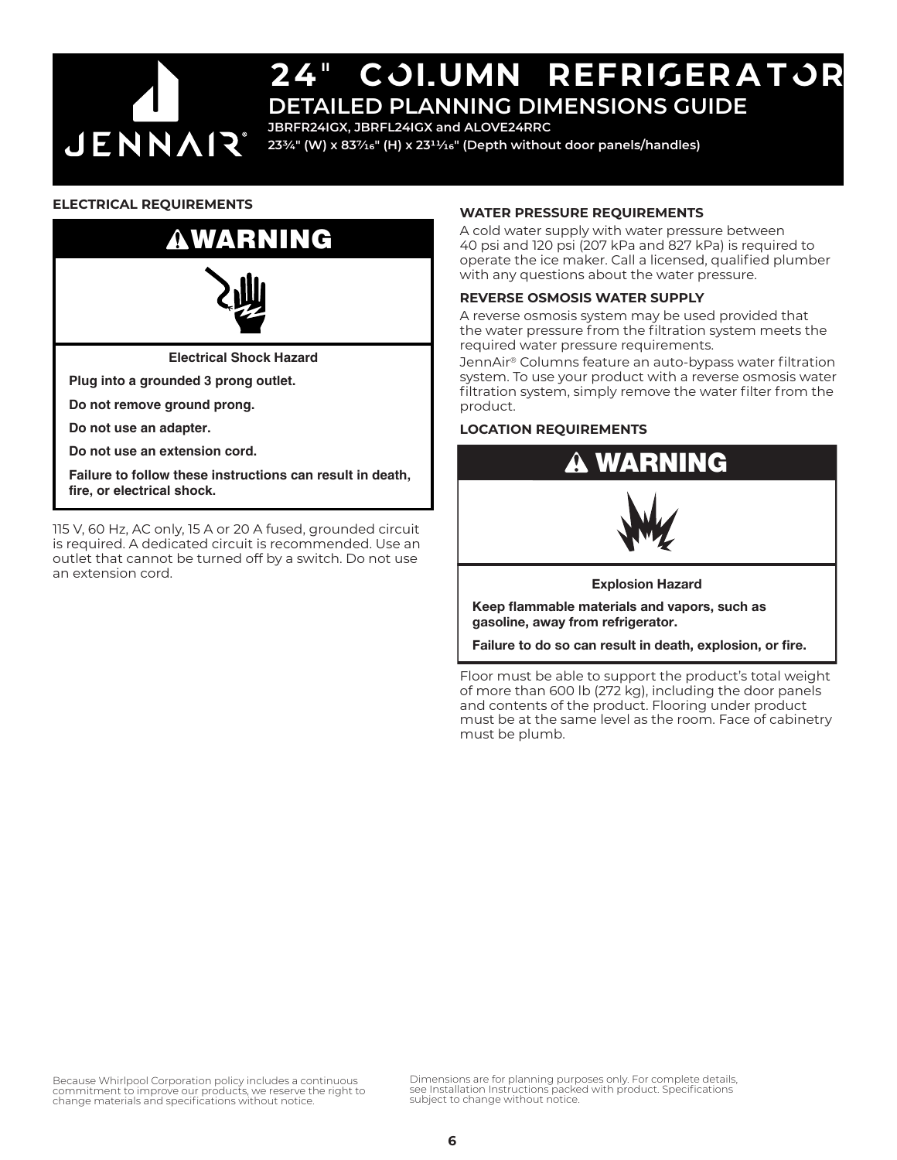

## 24" cOLumn refriGeratOr **DETAILED PLANNING DIMENSIONS GUIDE**

**JBRFR24IGX, JBRFL24IGX and ALOVE24RRC**

**233/4" (W) x 837/16" (H) x 2311/16" (Depth without door panels/handles)**

#### **ELECTRICAL REQUIREMENTS**

# WARNING



**Electrical Shock Hazard**

**Plug into a grounded 3 prong outlet.**

**Do not remove ground prong.**

**Do not use an adapter.**

**Do not use an extension cord.**

**Failure to follow these instructions can result in death, fire, or electrical shock.**

115 V, 60 Hz, AC only, 15 A or 20 A fused, grounded circuit is required. A dedicated circuit is recommended. Use an outlet that cannot be turned off by a switch. Do not use an extension cord.

#### **WATER PRESSURE REQUIREMENTS**

A cold water supply with water pressure between 40 psi and 120 psi (207 kPa and 827 kPa) is required to operate the ice maker. Call a licensed, qualified plumber with any questions about the water pressure.

#### **REVERSE OSMOSIS WATER SUPPLY**

A reverse osmosis system may be used provided that the water pressure from the filtration system meets the required water pressure requirements.

JennAir® Columns feature an auto-bypass water filtration system. To use your product with a reverse osmosis water filtration system, simply remove the water filter from the product.

#### **LOCATION REQUIREMENTS**



Failure to do so can result in death, explosion, or fire.

Floor must be able to support the product's total weight of more than 600 lb (272 kg), including the door panels and contents of the product. Flooring under product must be at the same level as the room. Face of cabinetry must be plumb.

Because Whirlpool Corporation policy includes a continuous commitment to improve our products, we reserve the right to change materials and specifications without notice.